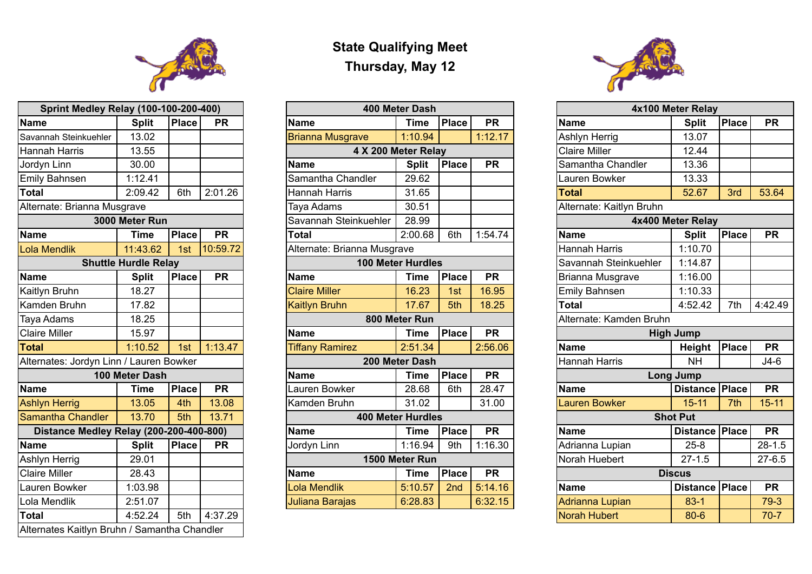## **State Qualifying Meet Thursday, May 12**

| <b>Sprint Medley Relay (100-100-200-400)</b> |                             |              |           | 400 Meter Dash              |                          |              |                                   | 4x100 Meter Relay       |                          |                   |
|----------------------------------------------|-----------------------------|--------------|-----------|-----------------------------|--------------------------|--------------|-----------------------------------|-------------------------|--------------------------|-------------------|
| Name                                         | <b>Split</b>                | <b>Place</b> | <b>PR</b> | <b>Name</b>                 | Time                     | <b>Place</b> | <b>PR</b>                         | <b>Name</b>             |                          | <b>Split</b>      |
| Savannah Steinkuehler                        | 13.02                       |              |           | <b>Brianna Musgrave</b>     | 1:10.94                  |              | 1:12.17                           |                         | <b>Ashlyn Herrig</b>     | 13.07             |
| Hannah Harris                                | 13.55                       |              |           | 4 X 200 Meter Relay         |                          |              |                                   |                         | <b>Claire Miller</b>     | 12.44             |
| Jordyn Linn                                  | 30.00                       |              |           | <b>Name</b>                 | <b>Split</b>             | <b>Place</b> | <b>PR</b>                         |                         | Samantha Chandler        | 13.36             |
| <b>Emily Bahnsen</b>                         | 1:12.41                     |              |           | Samantha Chandler           | 29.62                    |              |                                   |                         | Lauren Bowker            | 13.33             |
| Total                                        | 2:09.42                     | 6th          | 2:01.26   | Hannah Harris               | 31.65                    |              |                                   | Total                   |                          | 52.67             |
| Alternate: Brianna Musgrave                  |                             |              |           | Taya Adams                  | 30.51                    |              |                                   |                         | Alternate: Kaitlyn Bruhn |                   |
|                                              | 3000 Meter Run              |              |           | Savannah Steinkuehler       | 28.99                    |              |                                   |                         |                          | 4x400 Meter Relay |
| <b>Name</b>                                  | Time                        | <b>Place</b> | <b>PR</b> | Total                       | 2:00.68                  | 6th          | 1:54.74                           | <b>Name</b>             |                          | <b>Split</b>      |
| <b>Lola Mendlik</b>                          | 11:43.62                    | 1st          | 10:59.72  | Alternate: Brianna Musgrave |                          |              |                                   |                         | <b>Hannah Harris</b>     | 1:10.70           |
|                                              | <b>Shuttle Hurdle Relay</b> |              |           |                             | <b>100 Meter Hurdles</b> |              |                                   |                         | Savannah Steinkuehler    | 1:14.87           |
| <b>Name</b>                                  | <b>Split</b>                | <b>Place</b> | <b>PR</b> | <b>Name</b>                 | <b>Time</b>              | <b>Place</b> | <b>PR</b>                         |                         | <b>Brianna Musgrave</b>  | 1:16.00           |
| Kaitlyn Bruhn                                | 18.27                       |              |           | <b>Claire Miller</b>        | 16.23                    | 1st          | 16.95                             |                         | <b>Emily Bahnsen</b>     | 1:10.33           |
| Kamden Bruhn                                 | 17.82                       |              |           | <b>Kaitlyn Bruhn</b>        | 17.67                    | 5th          | 18.25                             | Total                   |                          | 4:52.42           |
| Taya Adams                                   | 18.25                       |              |           |                             | 800 Meter Run            |              |                                   | Alternate: Kamden Bruhn |                          |                   |
| <b>Claire Miller</b>                         | 15.97                       |              |           | <b>Name</b>                 | <b>Time</b>              | <b>Place</b> | <b>PR</b>                         |                         |                          | <b>High Jump</b>  |
| <b>Total</b>                                 | 1:10.52                     | 1st          | 1:13.47   | <b>Tiffany Ramirez</b>      | 2:51.34                  |              | 2:56.06                           | <b>Name</b>             |                          | <b>Height</b>     |
| Alternates: Jordyn Linn / Lauren Bowker      |                             |              |           | 200 Meter Dash              |                          |              | <b>Hannah Harris</b><br><b>NH</b> |                         |                          |                   |
|                                              | 100 Meter Dash              |              |           | <b>Name</b>                 | <b>Time</b>              | <b>Place</b> | <b>PR</b>                         |                         |                          | Long Jump         |
| <b>Name</b>                                  | Time                        | <b>Place</b> | <b>PR</b> | Lauren Bowker               | 28.68                    | 6th          | 28.47                             | <b>Name</b>             |                          | <b>Distance</b>   |
| Ashlyn Herrig                                | 13.05                       | 4th          | 13.08     | Kamden Bruhn                | 31.02                    |              | 31.00                             |                         | Lauren Bowker            | $15 - 11$         |
| <b>Samantha Chandler</b>                     | 13.70                       | 5th          | 13.71     |                             | <b>400 Meter Hurdles</b> |              |                                   |                         |                          | <b>Shot Put</b>   |
| Distance Medley Relay (200-200-400-800)      |                             |              |           | <b>Name</b>                 | <b>Time</b>              | <b>Place</b> | <b>PR</b>                         | <b>Name</b>             |                          | <b>Distance</b>   |
| Name                                         | <b>Split</b>                | <b>Place</b> | <b>PR</b> | Jordyn Linn                 | 1:16.94                  | 9th          | 1:16.30                           |                         | Adrianna Lupian          | $25 - 8$          |
| Ashlyn Herrig                                | 29.01                       |              |           |                             | 1500 Meter Run           |              |                                   |                         | Norah Huebert            | $27 - 1.5$        |
| <b>Claire Miller</b>                         | 28.43                       |              |           | <b>Name</b>                 | <b>Time</b>              | Place        | <b>PR</b>                         |                         | <b>Discus</b>            |                   |
| Lauren Bowker                                | 1:03.98                     |              |           | Lola Mendlik                | 5:10.57                  | 2nd          | 5:14.16                           | <b>Name</b>             |                          | <b>Distance</b>   |
| Lola Mendlik                                 | 2:51.07                     |              |           | Juliana Barajas             | 6:28.83                  |              | 6:32.15                           |                         | Adrianna Lupian          | $83-1$            |
|                                              |                             |              |           |                             |                          |              |                                   |                         |                          |                   |



| <b>Sprint Medley Relay (100-100-200-400)</b> |                             |              | 400 Meter Dash |                             |                          |              | 4x100 Meter Relay |                          |                         |              |            |
|----------------------------------------------|-----------------------------|--------------|----------------|-----------------------------|--------------------------|--------------|-------------------|--------------------------|-------------------------|--------------|------------|
| <b>Name</b>                                  | <b>Split</b>                | <b>Place</b> | <b>PR</b>      | <b>Name</b>                 | Time                     | <b>Place</b> | <b>PR</b>         | <b>Name</b>              | <b>Split</b>            | Place        | <b>PR</b>  |
| Savannah Steinkuehler                        | 13.02                       |              |                | <b>Brianna Musgrave</b>     | 1:10.94                  |              | 1:12.17           | <b>Ashlyn Herrig</b>     | 13.07                   |              |            |
| Hannah Harris                                | 13.55                       |              |                |                             | 4 X 200 Meter Relay      |              |                   | <b>Claire Miller</b>     | 12.44                   |              |            |
| Jordyn Linn                                  | 30.00                       |              |                | <b>Name</b>                 | <b>Split</b>             | Place        | <b>PR</b>         | Samantha Chandler        | 13.36                   |              |            |
| <b>Emily Bahnsen</b>                         | 1:12.41                     |              |                | Samantha Chandler           | 29.62                    |              |                   | Lauren Bowker            | 13.33                   |              |            |
| <b>Total</b>                                 | 2:09.42                     | 6th          | 2:01.26        | Hannah Harris               | 31.65                    |              |                   | <b>Total</b>             | 52.67                   | 3rd          | 53.64      |
| Alternate: Brianna Musgrave                  |                             |              |                | Taya Adams                  | 30.51                    |              |                   | Alternate: Kaitlyn Bruhn |                         |              |            |
|                                              | 3000 Meter Run              |              |                | Savannah Steinkuehler       | 28.99                    |              |                   | 4x400 Meter Relay        |                         |              |            |
| <b>Name</b>                                  | Time                        | <b>Place</b> | <b>PR</b>      | Total                       | 2:00.68                  | 6th          | 1:54.74           | <b>Name</b>              | <b>Split</b>            | <b>Place</b> | <b>PR</b>  |
| Lola Mendlik                                 | 11:43.62                    | 1st          | 10:59.72       | Alternate: Brianna Musgrave |                          |              |                   | <b>Hannah Harris</b>     | 1:10.70                 |              |            |
|                                              | <b>Shuttle Hurdle Relay</b> |              |                |                             | <b>100 Meter Hurdles</b> |              |                   | Savannah Steinkuehler    | 1:14.87                 |              |            |
| <b>Name</b>                                  | <b>Split</b>                | <b>Place</b> | <b>PR</b>      | <b>Name</b>                 | Time                     | <b>Place</b> | <b>PR</b>         | <b>Brianna Musgrave</b>  | 1:16.00                 |              |            |
| Kaitlyn Bruhn                                | 18.27                       |              |                | <b>Claire Miller</b>        | 16.23                    | 1st          | 16.95             | <b>Emily Bahnsen</b>     | 1:10.33                 |              |            |
| Kamden Bruhn                                 | 17.82                       |              |                | <b>Kaitlyn Bruhn</b>        | 17.67                    | 5th          | 18.25             | <b>Total</b>             | 4:52.42                 | 7th          | 4:42.49    |
| Taya Adams                                   | 18.25                       |              |                |                             | 800 Meter Run            |              |                   |                          | Alternate: Kamden Bruhn |              |            |
| <b>Claire Miller</b>                         | 15.97                       |              |                | <b>Name</b>                 | Time                     | <b>Place</b> | <b>PR</b>         |                          | <b>High Jump</b>        |              |            |
| <b>Total</b>                                 | 1:10.52                     | 1st          | 1:13.47        | <b>Tiffany Ramirez</b>      | 2:51.34                  |              | 2:56.06           | <b>Name</b>              | <b>Height</b>           | Place        | <b>PR</b>  |
| Alternates: Jordyn Linn / Lauren Bowker      |                             |              |                |                             | 200 Meter Dash           |              |                   | <b>Hannah Harris</b>     | <b>NH</b>               |              | $J4-6$     |
|                                              | 100 Meter Dash              |              |                | <b>Name</b>                 | <b>Time</b>              | <b>Place</b> | <b>PR</b>         |                          | <b>Long Jump</b>        |              |            |
| Name                                         | Time                        | <b>Place</b> | <b>PR</b>      | Lauren Bowker               | 28.68                    | 6th          | 28.47             | <b>Name</b>              | <b>Distance   Place</b> |              | <b>PR</b>  |
| <b>Ashlyn Herrig</b>                         | 13.05                       | 4th          | 13.08          | Kamden Bruhn                | 31.02                    |              | 31.00             | <b>Lauren Bowker</b>     | $15 - 11$               | 7th          | $15 - 11$  |
| <b>Samantha Chandler</b>                     | 13.70                       | 5th          | 13.71          |                             | <b>400 Meter Hurdles</b> |              |                   |                          | <b>Shot Put</b>         |              |            |
| Distance Medley Relay (200-200-400-800)      |                             |              |                | Name                        | Time                     | <b>Place</b> | <b>PR</b>         | <b>Name</b>              | Distance   Place        |              | <b>PR</b>  |
| Name                                         | <b>Split</b>                | <b>Place</b> | <b>PR</b>      | Jordyn Linn                 | 1:16.94                  | 9th          | 1:16.30           | Adrianna Lupian          | $25 - 8$                |              | $28 - 1.5$ |
| Ashlyn Herrig                                | 29.01                       |              |                |                             | 1500 Meter Run           |              |                   | Norah Huebert            | $27 - 1.5$              |              | $27 - 6.5$ |
| <b>Claire Miller</b>                         | 28.43                       |              |                | <b>Name</b>                 | <b>Time</b>              | <b>Place</b> | <b>PR</b>         |                          | <b>Discus</b>           |              |            |
| Lauren Bowker                                | 1:03.98                     |              |                | Lola Mendlik                | 5:10.57                  | 2nd          | 5:14.16           | <b>Name</b>              | Distance   Place        |              | <b>PR</b>  |
| Lola Mendlik                                 | 2:51.07                     |              |                | Juliana Barajas             | 6:28.83                  |              | 6:32.15           | Adrianna Lupian          | $83 - 1$                |              | $79-3$     |
| Total                                        | 4:52.24                     | 5th          | 4:37.29        |                             |                          |              |                   | Norah Hubert             | $80 - 6$                |              | $70-7$     |

|  | Name |  |
|--|------|--|
|  |      |  |





| <b>Sprint Medley Relay (100-100-200-400)</b> |                             |              |           |  |  |  |  |
|----------------------------------------------|-----------------------------|--------------|-----------|--|--|--|--|
| <b>Name</b>                                  | <b>Split</b>                | <b>Place</b> | <b>PR</b> |  |  |  |  |
| Savannah Steinkuehler                        | 13.02                       |              |           |  |  |  |  |
| Hannah Harris                                | 13.55                       |              |           |  |  |  |  |
| Jordyn Linn                                  | 30.00                       |              |           |  |  |  |  |
| <b>Emily Bahnsen</b>                         | 1:12.41                     |              |           |  |  |  |  |
| <b>Total</b>                                 | 2:09.42                     | 6th          | 2:01.26   |  |  |  |  |
| Alternate: Brianna Musgrave                  |                             |              |           |  |  |  |  |
|                                              | 3000 Meter Run              |              |           |  |  |  |  |
| <b>Name</b>                                  | <b>Time</b>                 | <b>Place</b> | <b>PR</b> |  |  |  |  |
| <b>Lola Mendlik</b>                          | 11:43.62                    | 1st          | 10:59.72  |  |  |  |  |
|                                              | <b>Shuttle Hurdle Relay</b> |              |           |  |  |  |  |
| <b>Name</b>                                  | <b>Split</b>                | <b>Place</b> | <b>PR</b> |  |  |  |  |
| Kaitlyn Bruhn                                | 18.27                       |              |           |  |  |  |  |
| <b>Kamden Bruhn</b>                          | 17.82                       |              |           |  |  |  |  |
| <b>Taya Adams</b>                            | 18.25                       |              |           |  |  |  |  |
| <b>Claire Miller</b>                         | 15.97                       |              |           |  |  |  |  |
| <b>Total</b>                                 | 1:10.52                     | 1st          | 1:13.47   |  |  |  |  |
| Alternates: Jordyn Linn / Lauren Bowker      |                             |              |           |  |  |  |  |
|                                              | 100 Meter Dash              |              |           |  |  |  |  |
| <b>Name</b>                                  | <b>Time</b>                 | <b>Place</b> | <b>PR</b> |  |  |  |  |
| <b>Ashlyn Herrig</b>                         | 13.05                       | 4th          | 13.08     |  |  |  |  |
| <b>Samantha Chandler</b>                     | 13.70                       | 5th          | 13.71     |  |  |  |  |
| Distance Medley Relay (200-200-400-800)      |                             |              |           |  |  |  |  |
| <b>Name</b>                                  | <b>Split</b>                | <b>Place</b> | <b>PR</b> |  |  |  |  |
| <b>Ashlyn Herrig</b>                         | 29.01                       |              |           |  |  |  |  |
| <b>Claire Miller</b>                         | 28.43                       |              |           |  |  |  |  |
| Lauren Bowker                                | 1:03.98                     |              |           |  |  |  |  |
| Lola Mendlik                                 | 2:51.07                     |              |           |  |  |  |  |
| <b>Total</b>                                 | 4:52.24                     | 5th          | 4:37.29   |  |  |  |  |
| Alternates Kaitlyn Bruhn / Samantha Chandler |                             |              |           |  |  |  |  |